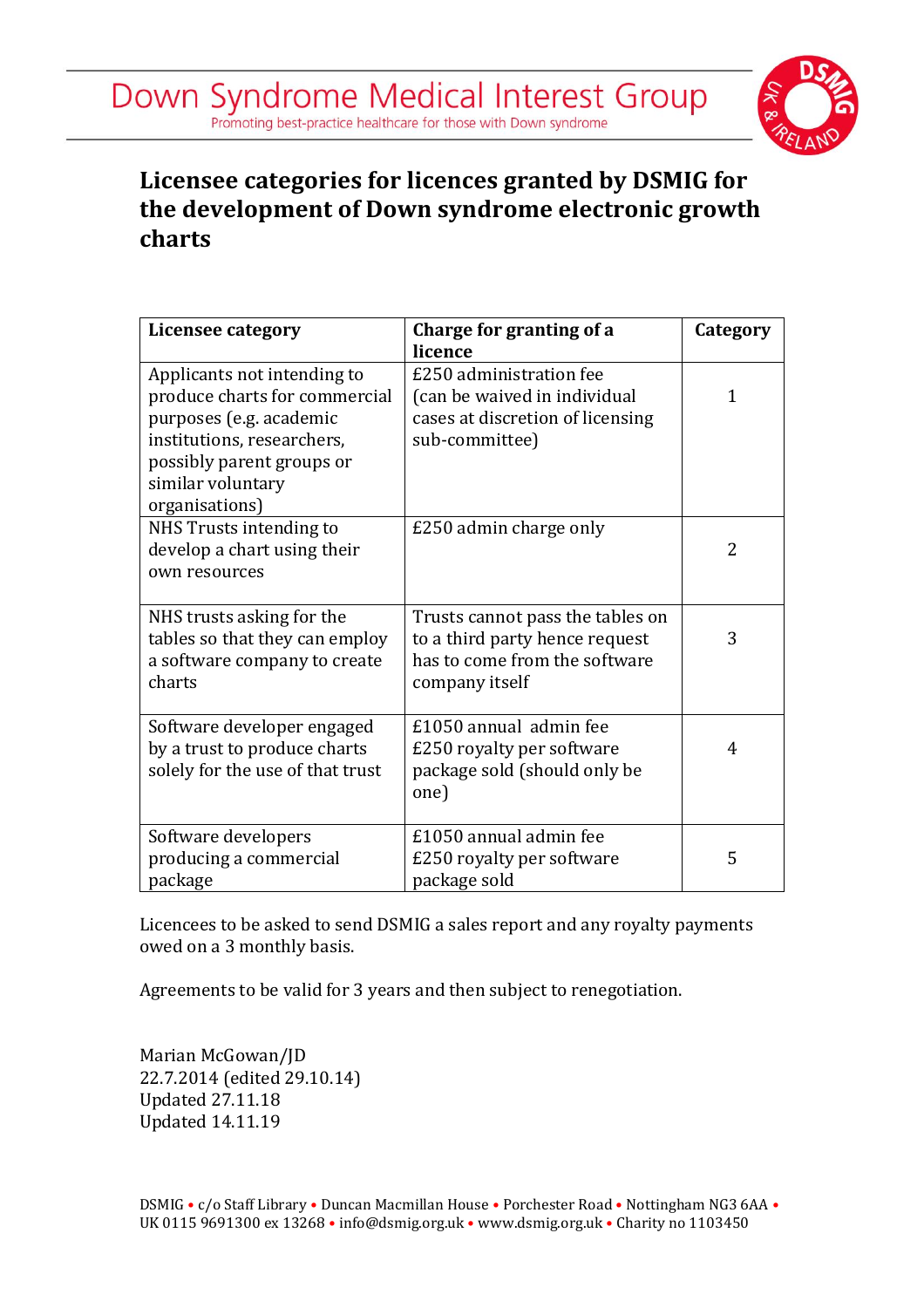

## **Licensee categories for licences granted by DSMIG for the development of Down syndrome electronic growth charts**

| Licensee category                                                                                                                                                                         | Charge for granting of a<br>licence                                                                                   | Category |
|-------------------------------------------------------------------------------------------------------------------------------------------------------------------------------------------|-----------------------------------------------------------------------------------------------------------------------|----------|
| Applicants not intending to<br>produce charts for commercial<br>purposes (e.g. academic<br>institutions, researchers,<br>possibly parent groups or<br>similar voluntary<br>organisations) | £250 administration fee<br>(can be waived in individual<br>cases at discretion of licensing<br>sub-committee)         | 1        |
| NHS Trusts intending to<br>develop a chart using their<br>own resources                                                                                                                   | £250 admin charge only                                                                                                | 2        |
| NHS trusts asking for the<br>tables so that they can employ<br>a software company to create<br>charts                                                                                     | Trusts cannot pass the tables on<br>to a third party hence request<br>has to come from the software<br>company itself | 3        |
| Software developer engaged<br>by a trust to produce charts<br>solely for the use of that trust                                                                                            | £1050 annual admin fee<br>£250 royalty per software<br>package sold (should only be<br>one)                           | 4        |
| Software developers<br>producing a commercial<br>package                                                                                                                                  | £1050 annual admin fee<br>£250 royalty per software<br>package sold                                                   | 5        |

Licencees to be asked to send DSMIG a sales report and any royalty payments owed on a 3 monthly basis.

Agreements to be valid for 3 years and then subject to renegotiation.

Marian McGowan/JD 22.7.2014 (edited 29.10.14) Updated 27.11.18 Updated 14.11.19